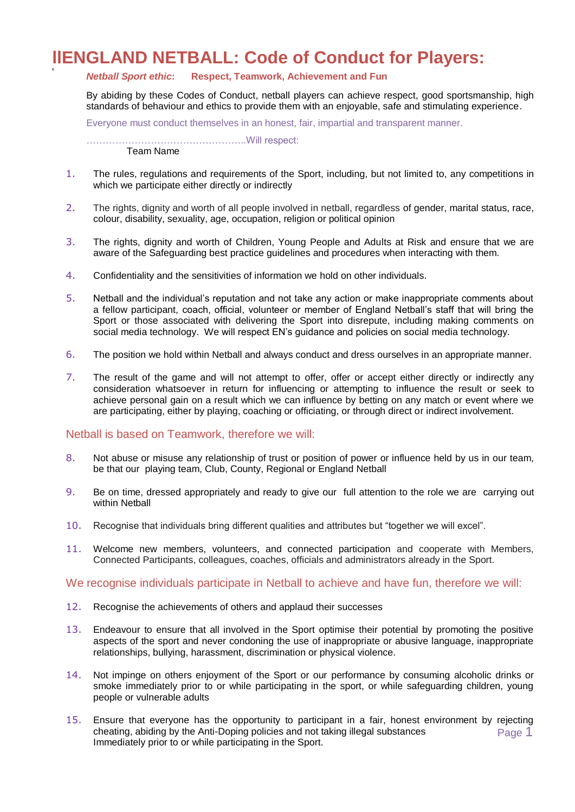## **llENGLAND NETBALL: Code of Conduct for Players:**

## *Netball Sport ethic***: Respect, Teamwork, Achievement and Fun**

By abiding by these Codes of Conduct, netball players can achieve respect, good sportsmanship, high standards of behaviour and ethics to provide them with an enjoyable, safe and stimulating experience.

Everyone must conduct themselves in an honest, fair, impartial and transparent manner.

…………………………………………..Will respect:

Team Name

**E**

- 1. The rules, regulations and requirements of the Sport, including, but not limited to, any competitions in which we participate either directly or indirectly
- 2. The rights, dignity and worth of all people involved in netball, regardless of gender, marital status, race, colour, disability, sexuality, age, occupation, religion or political opinion
- 3. The rights, dignity and worth of Children, Young People and Adults at Risk and ensure that we are aware of the Safeguarding best practice guidelines and procedures when interacting with them.
- 4. Confidentiality and the sensitivities of information we hold on other individuals.
- 5. Netball and the individual's reputation and not take any action or make inappropriate comments about a fellow participant, coach, official, volunteer or member of England Netball's staff that will bring the Sport or those associated with delivering the Sport into disrepute, including making comments on social media technology. We will respect EN's guidance and policies on social media technology.
- 6. The position we hold within Netball and always conduct and dress ourselves in an appropriate manner.
- 7. The result of the game and will not attempt to offer, offer or accept either directly or indirectly any consideration whatsoever in return for influencing or attempting to influence the result or seek to achieve personal gain on a result which we can influence by betting on any match or event where we are participating, either by playing, coaching or officiating, or through direct or indirect involvement.

## Netball is based on Teamwork, therefore we will:

- 8. Not abuse or misuse any relationship of trust or position of power or influence held by us in our team, be that our playing team, Club, County, Regional or England Netball
- 9. Be on time, dressed appropriately and ready to give our full attention to the role we are carrying out within Netball
- 10. Recognise that individuals bring different qualities and attributes but "together we will excel".
- 11. Welcome new members, volunteers, and connected participation and cooperate with Members, Connected Participants, colleagues, coaches, officials and administrators already in the Sport.

## We recognise individuals participate in Netball to achieve and have fun, therefore we will:

- 12. Recognise the achievements of others and applaud their successes
- 13. Endeavour to ensure that all involved in the Sport optimise their potential by promoting the positive aspects of the sport and never condoning the use of inappropriate or abusive language, inappropriate relationships, bullying, harassment, discrimination or physical violence.
- 14. Not impinge on others enjoyment of the Sport or our performance by consuming alcoholic drinks or smoke immediately prior to or while participating in the sport, or while safeguarding children, young people or vulnerable adults
- Page 1 15. Ensure that everyone has the opportunity to participant in a fair, honest environment by rejecting cheating, abiding by the Anti-Doping policies and not taking illegal substances Immediately prior to or while participating in the Sport.